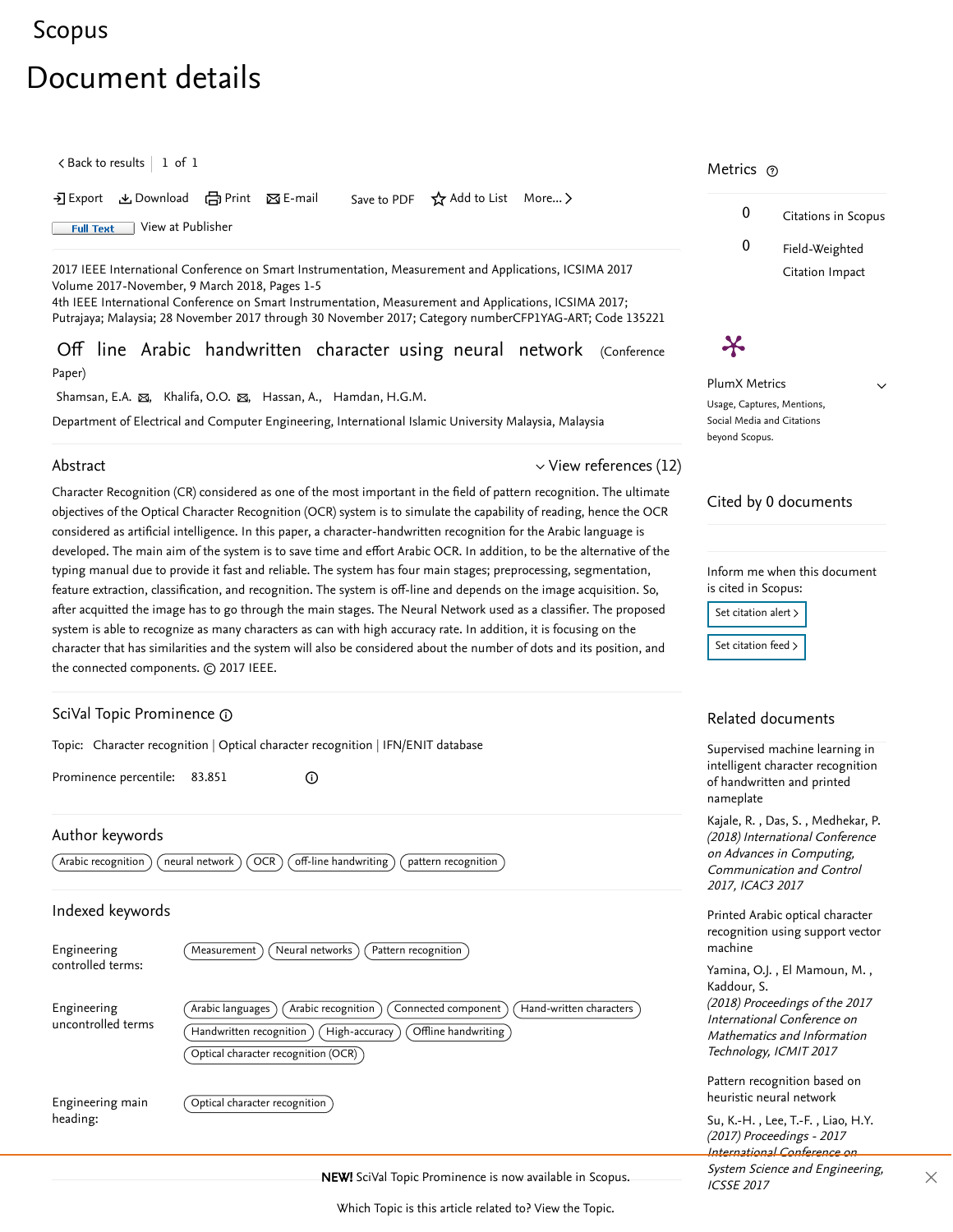# <span id="page-0-1"></span>[Scopus](https://www.scopus.com/home.uri?zone=header&origin=searchbasic)

# Document details

 $\zeta$  [Back to results](https://www.scopus.com/results/results.uri?sort=plf-f&src=s&st1=Off+line+Arabic+handwritten+character+using+neural+network&st2=&sid=70b8b83896b740b7c0cb3caf6dfe3a1d&sot=b&sdt=b&sl=65&s=TITLE%28Off+line+Arabic+handwritten+character+using+neural+network%29&offset=1&origin=recordpage)  $\vert$   $\,$  1 of  $\,$  1  $\,$ 

• Export とDownload 白 Print ⊠ E-mail Save to PDF ☆ Add to List More... >

**Full Text** [View at Publisher](https://www.scopus.com/redirect/linking.uri?targetURL=https%3a%2f%2fdoi.org%2f10.1109%2fICSIMA.2017.8312026&locationID=1&categoryID=4&eid=2-s2.0-85050626961&issn=&linkType=ViewAtPublisher&year=2018&origin=recordpage&dig=5de91e7bb4fa3a33212587bee96b08b7&recordRank=)

2017 IEEE International Conference on Smart Instrumentation, Measurement and Applications, ICSIMA 2017 Volume 2017-November, 9 March 2018, Pages 1-5

4th IEEE International Conference on Smart Instrumentation, Measurement and Applications, ICSIMA 2017; Putrajaya; Malaysia; 28 November 2017 through 30 November 2017; Category numberCFP1YAG-ART; Code 135221

Off line Arabic handwritten character using neural network (Conference Paper)

[Shamsan, E.A.](https://www.scopus.com/authid/detail.uri?authorId=57203126259&eid=2-s2.0-85050626961)  $\boxtimes$ , [Khalifa, O.O.](https://www.scopus.com/authid/detail.uri?authorId=9942198800&eid=2-s2.0-85050626961)  $\boxtimes$ , [Hassan, A.](https://www.scopus.com/authid/detail.uri?authorId=57203136918&eid=2-s2.0-85050626961), [Hamdan, H.G.M.](https://www.scopus.com/authid/detail.uri?authorId=57203137090&eid=2-s2.0-85050626961)

Department of Electrical and Computer Engineering, International Islamic University Malaysia, Malaysia

#### Abstract

Character Recognition (CR) considered as one of the most important in the field of pattern recognition. The ultimate objectives of the Optical Character Recognition (OCR) system is to simulate the capability of reading, hence the OCR considered as artificial intelligence. In this paper, a character-handwritten recognition for the Arabic language is developed. The main aim of the system is to save time and effort Arabic OCR. In addition, to be the alternative of the typing manual due to provide it fast and reliable. The system has four main stages; preprocessing, segmentation, feature extraction, classification, and recognition. The system is off-line and depends on the image acquisition. So, after acquitted the image has to go through the main stages. The Neural Network used as a classifier. The proposed system is able to recognize as many characters as can with high accuracy rate. In addition, it is focusing on the character that has similarities and the system will also be considered about the number of dots and its position, and the connected components. © 2017 IEEE.

# <span id="page-0-0"></span>SciVal Topic Prominence

Topic: Character recognition | Optical character recognition | IFN/ENIT database

 $\odot$ 

Prominence percentile: 83.851

## Author keywords

 $\sqrt{r}$  Arabic recognition  $\sqrt{r}$  (neural network  $\sqrt{r}$  OCR  $\sqrt{r}$  off-line handwriting  $\sqrt{r}$  pattern recognition

Optical character recognition

## Indexed keywords

Engineering controlled terms:  $(\overline{\text{Measurement}})$   $(\overline{\text{Neural networks}})$   $(\overline{\text{Pattern recognition}})$ Engineering uncontrolled terms  $\left(\right.\overline{\phantom{a}}$  Arabic recognition  $\left.\overline{\phantom{a}}\right)$   $\left(\overline{\phantom{a}}\right.$  Connected component  $\left.\overline{\phantom{a}}\right)$   $\left(\overline{\phantom{a}}\right.$  Hand-written characters  $\overline{\phantom{a}}$ Handwritten recognition  $)$  (High-accuracy ) (Offline handwriting  $\big(\bigcirc$  Optical character recognition (OCR)  $\big)$ 

Engineering main heading:

# Metrics  $\, \circ \,$

 $\boldsymbol{\varkappa}$ 



 $\checkmark$ 

PlumX Metrics Usage, Captures, Mentions, Social Media and Citations beyond Scopus.

#### Cited by 0 documents

 $\vee$  [View references \(12\)](#page-1-0)

Inform me when this document is cited in Scopus:

Set citation alert > [Set citation feed](https://www.scopus.com/results/rss/handler.uri?citeEid=2-s2.0-85050626961) >

#### Related documents

Supervised machine learning in [intelligent character recognition](https://www.scopus.com/record/display.uri?origin=recordpage&zone=relatedDocuments&eid=2-s2.0-85050695207&citeCnt=0&noHighlight=false&sort=plf-f&src=s&st1=Off+line+Arabic+handwritten+character+using+neural+network&st2=&sid=70b8b83896b740b7c0cb3caf6dfe3a1d&sot=b&sdt=b&sl=65&s=TITLE%28Off+line+Arabic+handwritten+character+using+neural+network%29&relpos=0) of handwritten and printed nameplate

, , [Kajale, R.](https://www.scopus.com/authid/detail.uri?origin=recordpage&authorId=57203148038&zone=relatedDocuments) Das, S. [Medhekar, P.](https://www.scopus.com/authid/detail.uri?origin=recordpage&authorId=57203146528&zone=relatedDocuments) (2018) International Conference on Advances in Computing, Communication and Control 2017, ICAC3 2017

Printed Arabic optical character [recognition using support vector](https://www.scopus.com/record/display.uri?origin=recordpage&zone=relatedDocuments&eid=2-s2.0-85049458664&citeCnt=0&noHighlight=false&sort=plf-f&src=s&st1=Off+line+Arabic+handwritten+character+using+neural+network&st2=&sid=70b8b83896b740b7c0cb3caf6dfe3a1d&sot=b&sdt=b&sl=65&s=TITLE%28Off+line+Arabic+handwritten+character+using+neural+network%29&relpos=1) machine

, , [Yamina, O.J.](https://www.scopus.com/authid/detail.uri?origin=recordpage&authorId=57202815052&zone=relatedDocuments) El Mamoun, M. (2018) Proceedings of the 2017 International Conference on Mathematics and Information Technology, ICMIT 2017 [Kaddour, S.](https://www.scopus.com/authid/detail.uri?origin=recordpage&authorId=57202819210&zone=relatedDocuments)

[Pattern recognition based on](https://www.scopus.com/record/display.uri?origin=recordpage&zone=relatedDocuments&eid=2-s2.0-85032366024&citeCnt=0&noHighlight=false&sort=plf-f&src=s&st1=Off+line+Arabic+handwritten+character+using+neural+network&st2=&sid=70b8b83896b740b7c0cb3caf6dfe3a1d&sot=b&sdt=b&sl=65&s=TITLE%28Off+line+Arabic+handwritten+character+using+neural+network%29&relpos=2) heuristic neural network

, , [Su, K.-H.](https://www.scopus.com/authid/detail.uri?origin=recordpage&authorId=7101635794&zone=relatedDocuments) Lee, T.-F. [Liao, H.Y.](https://www.scopus.com/authid/detail.uri?origin=recordpage&authorId=57196238344&zone=relatedDocuments) (2017) Proceedings - 2017 International Conference on

System Science and Engineering, ICSSE 2017

Which Topic is this article related to? [View the Topic.](#page-0-0)

NEW! SciVal Topic Prominence is now available in Scopus.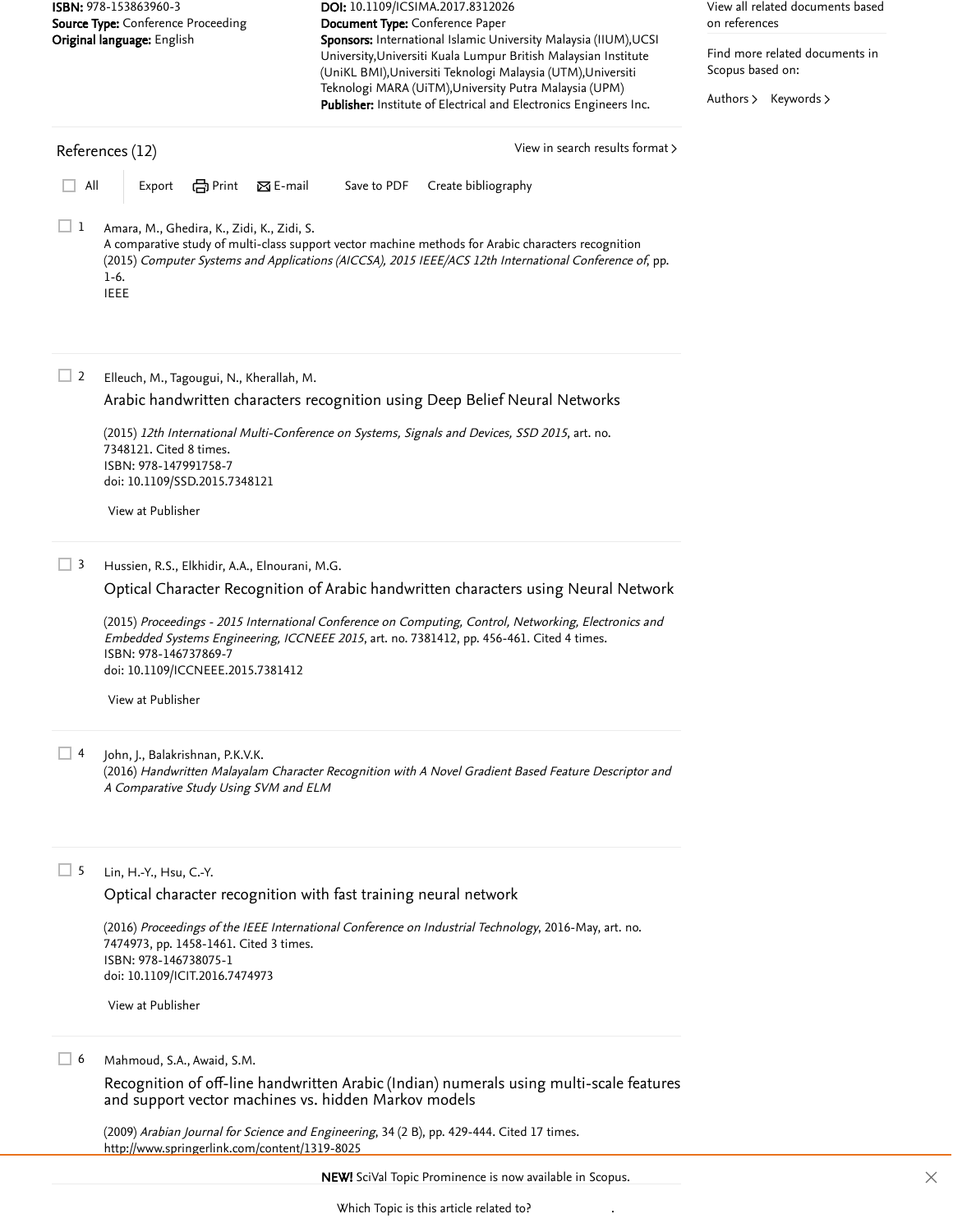<span id="page-1-0"></span>

| ISBN: 978-153863960-3<br>Source Type: Conference Proceeding<br>Original language: English<br>References (12) |                                                                                                                         | DOI: 10.1109/ICSIMA.2017.8312026<br>Document Type: Conference Paper<br>Sponsors: International Islamic University Malaysia (IIUM), UCSI<br>University, Universiti Kuala Lumpur British Malaysian Institute<br>(UniKL BMI), Universiti Teknologi Malaysia (UTM), Universiti<br>Teknologi MARA (UiTM), University Putra Malaysia (UPM)<br>Publisher: Institute of Electrical and Electronics Engineers Inc.<br>View in search results format > | View all related documents based<br>on references<br>Find more related documents in<br>Scopus based on:<br>Authors > Keywords > |
|--------------------------------------------------------------------------------------------------------------|-------------------------------------------------------------------------------------------------------------------------|----------------------------------------------------------------------------------------------------------------------------------------------------------------------------------------------------------------------------------------------------------------------------------------------------------------------------------------------------------------------------------------------------------------------------------------------|---------------------------------------------------------------------------------------------------------------------------------|
|                                                                                                              |                                                                                                                         |                                                                                                                                                                                                                                                                                                                                                                                                                                              |                                                                                                                                 |
| -1                                                                                                           | Amara, M., Ghedira, K., Zidi, K., Zidi, S.<br>$1-6.$<br><b>IEEE</b>                                                     | A comparative study of multi-class support vector machine methods for Arabic characters recognition<br>(2015) Computer Systems and Applications (AICCSA), 2015 IEEE/ACS 12th International Conference of, pp.                                                                                                                                                                                                                                |                                                                                                                                 |
| $\Box$ 2                                                                                                     | Elleuch, M., Tagougui, N., Kherallah, M.<br>Arabic handwritten characters recognition using Deep Belief Neural Networks |                                                                                                                                                                                                                                                                                                                                                                                                                                              |                                                                                                                                 |
|                                                                                                              | 7348121. Cited 8 times.<br>ISBN: 978-147991758-7<br>doi: 10.1109/SSD.2015.7348121                                       | (2015) 12th International Multi-Conference on Systems, Signals and Devices, SSD 2015, art. no.                                                                                                                                                                                                                                                                                                                                               |                                                                                                                                 |
|                                                                                                              | View at Publisher                                                                                                       |                                                                                                                                                                                                                                                                                                                                                                                                                                              |                                                                                                                                 |
| $\Box$ 3                                                                                                     | Hussien, R.S., Elkhidir, A.A., Elnourani, M.G.<br>ISBN: 978-146737869-7                                                 | Optical Character Recognition of Arabic handwritten characters using Neural Network<br>(2015) Proceedings - 2015 International Conference on Computing, Control, Networking, Electronics and<br>Embedded Systems Engineering, ICCNEEE 2015, art. no. 7381412, pp. 456-461. Cited 4 times.                                                                                                                                                    |                                                                                                                                 |
|                                                                                                              | doi: 10.1109/ICCNEEE.2015.7381412<br>View at Publisher                                                                  |                                                                                                                                                                                                                                                                                                                                                                                                                                              |                                                                                                                                 |
| $\Box$ 4                                                                                                     | John, J., Balakrishnan, P.K.V.K.<br>A Comparative Study Using SVM and ELM                                               | (2016) Handwritten Malayalam Character Recognition with A Novel Gradient Based Feature Descriptor and                                                                                                                                                                                                                                                                                                                                        |                                                                                                                                 |
| $\Box$ 5                                                                                                     | Lin, H.-Y., Hsu, C.-Y.<br>Optical character recognition with fast training neural network                               |                                                                                                                                                                                                                                                                                                                                                                                                                                              |                                                                                                                                 |
|                                                                                                              | 7474973, pp. 1458-1461. Cited 3 times.<br>ISBN: 978-146738075-1<br>doi: 10.1109/ICIT.2016.7474973                       | (2016) Proceedings of the IEEE International Conference on Industrial Technology, 2016-May, art. no.                                                                                                                                                                                                                                                                                                                                         |                                                                                                                                 |
|                                                                                                              | View at Publisher                                                                                                       |                                                                                                                                                                                                                                                                                                                                                                                                                                              |                                                                                                                                 |
| $\Box$ 6                                                                                                     | Mahmoud, S.A., Awaid, S.M.<br>and support vector machines vs. hidden Markov models                                      | Recognition of off-line handwritten Arabic (Indian) numerals using multi-scale features                                                                                                                                                                                                                                                                                                                                                      |                                                                                                                                 |
|                                                                                                              | http://www.springerlink.com/content/1319-8025                                                                           | (2009) Arabian Journal for Science and Engineering, 34 (2 B), pp. 429-444. Cited 17 times.                                                                                                                                                                                                                                                                                                                                                   |                                                                                                                                 |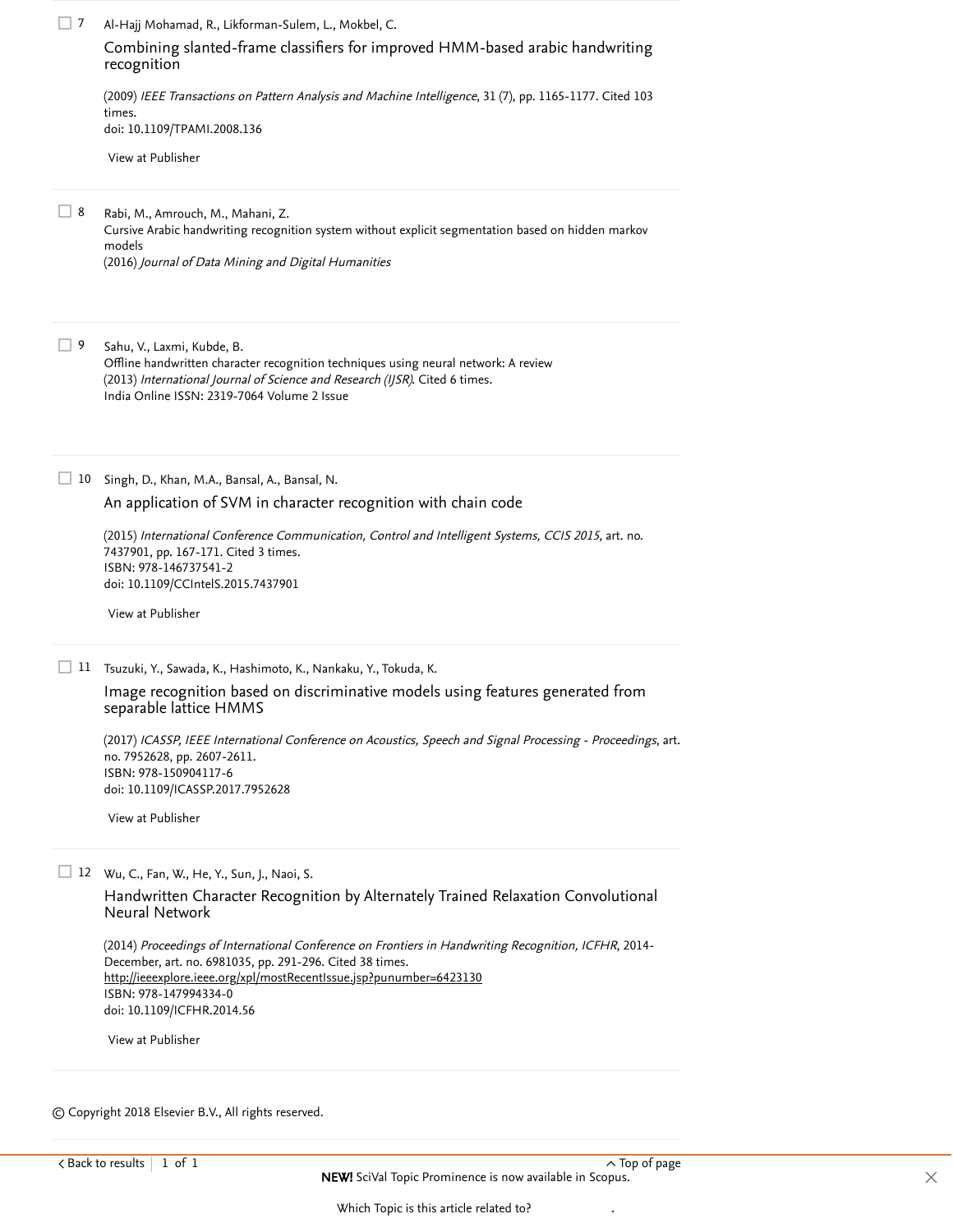|  | Al-Hajj Mohamad, R., Likforman-Sulem, L., Mokbel, C. |
|--|------------------------------------------------------|
|--|------------------------------------------------------|

[Combining slanted-frame classifiers for improved HMM-based arabic handwriting](https://www.scopus.com/record/display.uri?eid=2-s2.0-67349282554&origin=reflist&sort=plf-f&src=s&st1=Off+line+Arabic+handwritten+character+using+neural+network&st2=&sid=70b8b83896b740b7c0cb3caf6dfe3a1d&sot=b&sdt=b&sl=65&s=TITLE%28Off+line+Arabic+handwritten+character+using+neural+network%29&recordRank=) recognition

(2009) [IEEE Transactions on Pattern Analysis and Machine Intelligence](https://www.scopus.com/search/submit/citedby.uri?eid=2-s2.0-85050626961&refeid=2-s2.0-67349282554&src=s&origin=reflist&refstat=core), 31 (7), pp. 1165-1177. Cited 103 . times doi: 10.1109/TPAMI.2008.136

[View at Publisher](https://www.scopus.com/redirect/linking.uri?targetURL=https%3a%2f%2fdoi.org%2f10.1109%2fTPAMI.2008.136&locationID=3&categoryID=4&eid=2-s2.0-67349282554&issn=01628828&linkType=ViewAtPublisher&year=2009&origin=reflist&dig=91be4e905b97157ec7256e460451247b&recordRank=)

Rabi, M., Amrouch, M., Mahani, Z.  $\Box$  8

Cursive Arabic handwriting recognition system without explicit segmentation based on hidden markov models

(2016) Journal of Data Mining and Digital Humanities

Sahu, V., Laxmi, Kubde, B. Offline handwritten character recognition techniques using neural network: A review (2013) *International Journal of Science and Research (IJSR)*. [Cited 6 times](https://www.scopus.com/search/submit/citedby.uri?eid=2-s2.0-85050626961&refeid=2-s2.0-84921749768&src=s&origin=reflist&refstat=dummy). India Online ISSN: 2319-7064 Volume 2 Issue 9

10 Singh, D., Khan, M.A., Bansal, A., Bansal, N.

[An application of SVM in character recognition with chain code](https://www.scopus.com/record/display.uri?eid=2-s2.0-84969221052&origin=reflist&sort=plf-f&src=s&st1=Off+line+Arabic+handwritten+character+using+neural+network&st2=&sid=70b8b83896b740b7c0cb3caf6dfe3a1d&sot=b&sdt=b&sl=65&s=TITLE%28Off+line+Arabic+handwritten+character+using+neural+network%29&recordRank=)

(2015) International Conference Communication, Control and Intelligent Systems, CCIS 2015, art. no. 7437901, pp. 167-171. [Cited 3 times](https://www.scopus.com/search/submit/citedby.uri?eid=2-s2.0-85050626961&refeid=2-s2.0-84969221052&src=s&origin=reflist&refstat=core). ISBN: 978-146737541-2 doi: 10.1109/CCIntelS.2015.7437901

[View at Publisher](https://www.scopus.com/redirect/linking.uri?targetURL=https%3a%2f%2fdoi.org%2f10.1109%2fCCIntelS.2015.7437901&locationID=3&categoryID=4&eid=2-s2.0-84969221052&issn=&linkType=ViewAtPublisher&year=2015&origin=reflist&dig=e334c640a2f3e2c1f9bbfa5fa261d7fe&recordRank=)

Tsuzuki, Y., Sawada, K., Hashimoto, K., Nankaku, Y., Tokuda, K. 11

[Image recognition based on discriminative models using features generated from](https://www.scopus.com/record/display.uri?eid=2-s2.0-85023768850&origin=reflist&sort=plf-f&src=s&st1=Off+line+Arabic+handwritten+character+using+neural+network&st2=&sid=70b8b83896b740b7c0cb3caf6dfe3a1d&sot=b&sdt=b&sl=65&s=TITLE%28Off+line+Arabic+handwritten+character+using+neural+network%29&recordRank=) separable lattice HMMS

(2017) ICASSP, IEEE International Conference on Acoustics, Speech and Signal Processing - Proceedings, art. no. 7952628, pp. 2607-2611. ISBN: 978-150904117-6 doi: 10.1109/ICASSP.2017.7952628

[View at Publisher](https://www.scopus.com/redirect/linking.uri?targetURL=https%3a%2f%2fdoi.org%2f10.1109%2fICASSP.2017.7952628&locationID=3&categoryID=4&eid=2-s2.0-85023768850&issn=15206149&linkType=ViewAtPublisher&year=2017&origin=reflist&dig=638fc1cbc7c597874f6b62e81e8ed8f1&recordRank=)

Wu, C., Fan, W., He, Y., Sun, J., Naoi, S. 12

[Handwritten Character Recognition by Alternately Trained Relaxation Convolutional](https://www.scopus.com/record/display.uri?eid=2-s2.0-84942244321&origin=reflist&sort=plf-f&src=s&st1=Off+line+Arabic+handwritten+character+using+neural+network&st2=&sid=70b8b83896b740b7c0cb3caf6dfe3a1d&sot=b&sdt=b&sl=65&s=TITLE%28Off+line+Arabic+handwritten+character+using+neural+network%29&recordRank=) Neural Network

(2014) Proceedings of International Conference on Frontiers in Handwriting Recognition, ICFHR, 2014- December, art. no. 6981035, pp. 291-296. [Cited 38 times](https://www.scopus.com/search/submit/citedby.uri?eid=2-s2.0-85050626961&refeid=2-s2.0-84942244321&src=s&origin=reflist&refstat=core). ISBN: 978-147994334-0 doi: 10.1109/ICFHR.2014.56 <http://ieeexplore.ieee.org/xpl/mostRecentIssue.jsp?punumber=6423130>

[View at Publisher](https://www.scopus.com/redirect/linking.uri?targetURL=https%3a%2f%2fdoi.org%2f10.1109%2fICFHR.2014.56&locationID=3&categoryID=4&eid=2-s2.0-84942244321&issn=21676453&linkType=ViewAtPublisher&year=2014&origin=reflist&dig=957db3f9f5eaab2f0a80ccb41e7889bc&recordRank=)

© Copyright 2018 Elsevier B.V., All rights reserved.

Which Topic is this article related to?